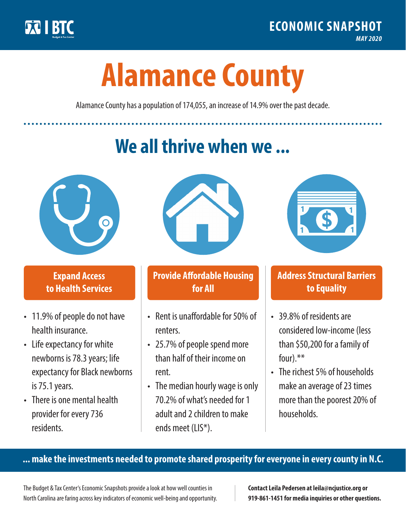

**1**

# **Alamance County**

Alamance County has a population of 174,055, an increase of 14.9% over the past decade.

# **We all thrive when we ...**



**\$ <sup>1</sup>**

**\$ <sup>1</sup>**

## **Expand Access to Health Services**

- 11.9% of people do not have health insurance.
- Life expectancy for white newborns is 78.3years; life expectancy for Black newborns is 75.1years.
- There is one mental health provider for every 736 residents.



## **Provide Affordable Housing for All**

- Rent is unaffordable for 50% of renters.
- 25.7% of people spend more than half of their income on rent.
- The median hourly wage is only 70.2% of what's needed for 1 adult and 2 children to make ends meet (LIS\*).



## **Address Structural Barriers to Equality**

- 39.8% of residents are considered low-income (less than \$50,200 for a family of four).\*\*
- The richest 5% of households make an average of 23 times more than the poorest 20% of households.

#### **... make the investments needed to promote shared prosperity for everyone in every county in N.C.**

The Budget & Tax Center's Economic Snapshots provide a look at how well counties in North Carolina are faring across key indicators of economic well-being and opportunity.